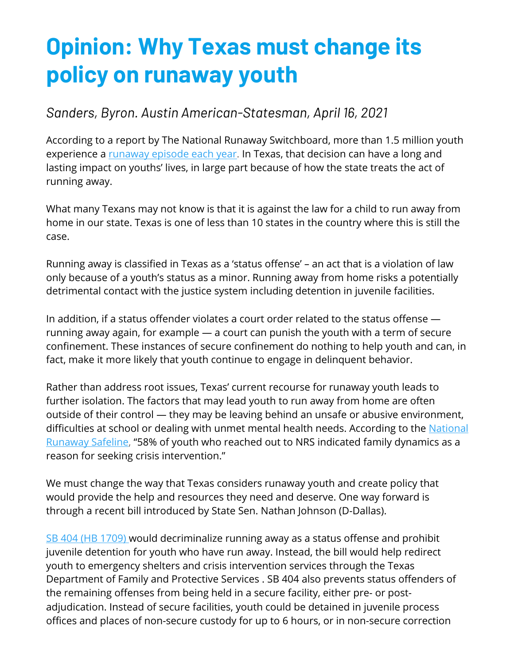## **Opinion: Why Texas must change its policy on runaway youth**

## *Sanders, Byron. Austin American-Statesman, April 16, 2021*

According to a report by The National Runaway Switchboard, more than 1.5 million youth experience a runaway episode each year. In Texas, that decision can have a long and lasting impact on youths' lives, in large part because of how the state treats the act of running away.

What many Texans may not know is that it is against the law for a child to run away from home in our state. Texas is one of less than 10 states in the country where this is still the case.

Running away is classified in Texas as a 'status offense' – an act that is a violation of law only because of a youth's status as a minor. Running away from home risks a potentially detrimental contact with the justice system including detention in juvenile facilities.

In addition, if a status offender violates a court order related to the status offense running away again, for example — a court can punish the youth with a term of secure confinement. These instances of secure confinement do nothing to help youth and can, in fact, make it more likely that youth continue to engage in delinquent behavior.

Rather than address root issues, Texas' current recourse for runaway youth leads to further isolation. The factors that may lead youth to run away from home are often outside of their control — they may be leaving behind an unsafe or abusive environment, difficulties at school or dealing with unmet mental health needs. According to the National Runaway Safeline, "58% of youth who reached out to NRS indicated family dynamics as a reason for seeking crisis intervention."

We must change the way that Texas considers runaway youth and create policy that would provide the help and resources they need and deserve. One way forward is through a recent bill introduced by State Sen. Nathan Johnson (D-Dallas).

SB 404 (HB 1709) would decriminalize running away as a status offense and prohibit juvenile detention for youth who have run away. Instead, the bill would help redirect youth to emergency shelters and crisis intervention services through the Texas Department of Family and Protective Services . SB 404 also prevents status offenders of the remaining offenses from being held in a secure facility, either pre- or postadjudication. Instead of secure facilities, youth could be detained in juvenile process offices and places of non-secure custody for up to 6 hours, or in non-secure correction